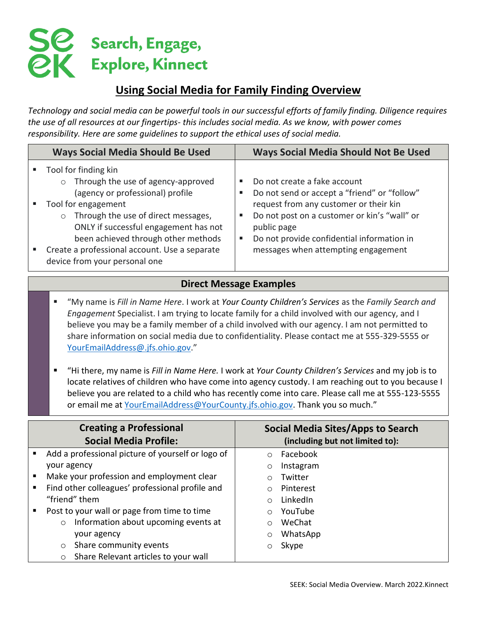# $\mathbf{S}$ esearch, Engage, **QK** Explore, Kinnect

# **Using Social Media for Family Finding Overview**

*Technology and social media can be powerful tools in our successful efforts of family finding. Diligence requires the use of all resources at our fingertips- this includes social media. As we know, with power comes responsibility. Here are some guidelines to support the ethical uses of social media.* 

| <b>Ways Social Media Should Be Used</b>                                                                                                                                                                                                                                                                                                              | <b>Ways Social Media Should Not Be Used</b>                                                                                                                                                                                                                                          |
|------------------------------------------------------------------------------------------------------------------------------------------------------------------------------------------------------------------------------------------------------------------------------------------------------------------------------------------------------|--------------------------------------------------------------------------------------------------------------------------------------------------------------------------------------------------------------------------------------------------------------------------------------|
| Tool for finding kin<br>Through the use of agency-approved<br>$\circ$<br>(agency or professional) profile<br>Tool for engagement<br>Through the use of direct messages,<br>$\circ$<br>ONLY if successful engagement has not<br>been achieved through other methods<br>Create a professional account. Use a separate<br>device from your personal one | Do not create a fake account<br>л<br>Do not send or accept a "friend" or "follow"<br>request from any customer or their kin<br>Do not post on a customer or kin's "wall" or<br>public page<br>Do not provide confidential information in<br>ш<br>messages when attempting engagement |

## **Direct Message Examples**

- "My name is *Fill in Name Here*. I work at *Your County Children's Services* as the *Family Search and Engagement* Specialist. I am trying to locate family for a child involved with our agency, and I believe you may be a family member of a child involved with our agency. I am not permitted to share information on social media due to confidentiality. Please contact me at 555-329-5555 or [YourEmailAddress@.jfs.ohio.gov](mailto:YourEmailAddress@.jfs.ohio.gov)."
- "Hi there, my name is *Fill in Name Here.* I work at *Your County Children's Services* and my job is to locate relatives of children who have come into agency custody. I am reaching out to you because I believe you are related to a child who has recently come into care. Please call me at 555-123-5555 or email me at [YourEmailAddress@YourCounty.jfs.ohio.gov.](mailto:YourEmailAddress@YourCounty.jfs.ohio.gov) Thank you so much."

| <b>Creating a Professional</b><br><b>Social Media Profile:</b> |                                                   | <b>Social Media Sites/Apps to Search</b><br>(including but not limited to): |           |
|----------------------------------------------------------------|---------------------------------------------------|-----------------------------------------------------------------------------|-----------|
|                                                                | Add a professional picture of yourself or logo of | $\circ$                                                                     | Facebook  |
|                                                                | your agency                                       | $\circ$                                                                     | Instagram |
| п                                                              | Make your profession and employment clear         |                                                                             | Twitter   |
|                                                                | Find other colleagues' professional profile and   |                                                                             | Pinterest |
|                                                                | "friend" them                                     | $\bigcirc$                                                                  | LinkedIn  |
| п                                                              | Post to your wall or page from time to time       |                                                                             | YouTube   |
|                                                                | Information about upcoming events at<br>$\circ$   | $\circ$                                                                     | WeChat    |
|                                                                | your agency                                       | $\circ$                                                                     | WhatsApp  |
|                                                                | Share community events<br>O                       |                                                                             | Skype     |
|                                                                | Share Relevant articles to your wall<br>$\circ$   |                                                                             |           |